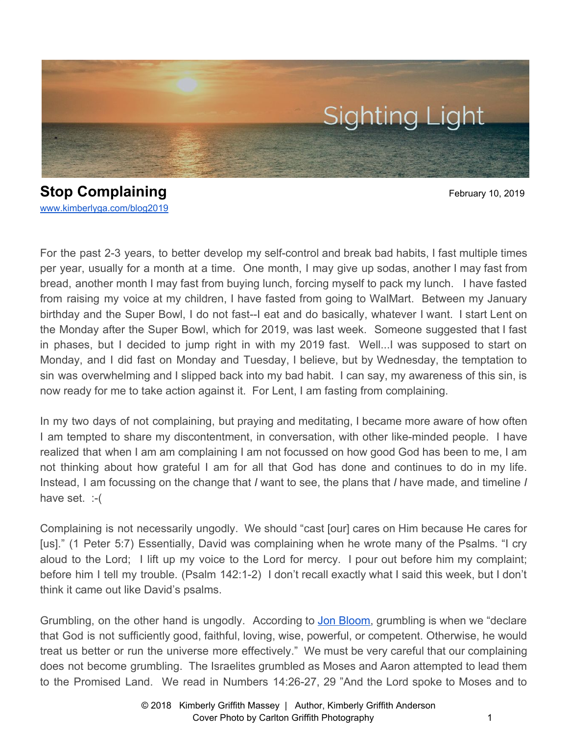

**Stop Complaining** February 10, 2019 [www.kimberlyga.com/blog2019](http://www.kimberlyga.com/blog)

For the past 2-3 years, to better develop my self-control and break bad habits, I fast multiple times per year, usually for a month at a time. One month, I may give up sodas, another I may fast from bread, another month I may fast from buying lunch, forcing myself to pack my lunch. I have fasted from raising my voice at my children, I have fasted from going to WalMart. Between my January birthday and the Super Bowl, I do not fast--I eat and do basically, whatever I want. I start Lent on the Monday after the Super Bowl, which for 2019, was last week. Someone suggested that I fast in phases, but I decided to jump right in with my 2019 fast. Well...I was supposed to start on Monday, and I did fast on Monday and Tuesday, I believe, but by Wednesday, the temptation to sin was overwhelming and I slipped back into my bad habit. I can say, my awareness of this sin, is now ready for me to take action against it. For Lent, I am fasting from complaining.

In my two days of not complaining, but praying and meditating, I became more aware of how often I am tempted to share my discontentment, in conversation, with other like-minded people. I have realized that when I am am complaining I am not focussed on how good God has been to me, I am not thinking about how grateful I am for all that God has done and continues to do in my life. Instead, I am focussing on the change that *I* want to see, the plans that *I* have made, and timeline *I* have set. :-(

Complaining is not necessarily ungodly. We should "cast [our] cares on Him because He cares for [us]." (1 Peter 5:7) Essentially, David was complaining when he wrote many of the Psalms. "I cry aloud to the Lord; I lift up my voice to the Lord for mercy. I pour out before him my complaint; before him I tell my trouble. (Psalm 142:1-2) I don't recall exactly what I said this week, but I don't think it came out like David's psalms.

Grumbling, on the other hand is ungodly. According to Jon [Bloom](https://www.desiringgod.org/articles/how-to-complain-without-grumbling), grumbling is when we "declare that God is not sufficiently good, faithful, loving, wise, powerful, or competent. Otherwise, he would treat us better or run the universe more effectively." We must be very careful that our complaining does not become grumbling. The Israelites grumbled as Moses and Aaron attempted to lead them to the Promised Land. We read in Numbers 14:26-27, 29 "And the Lord spoke to Moses and to